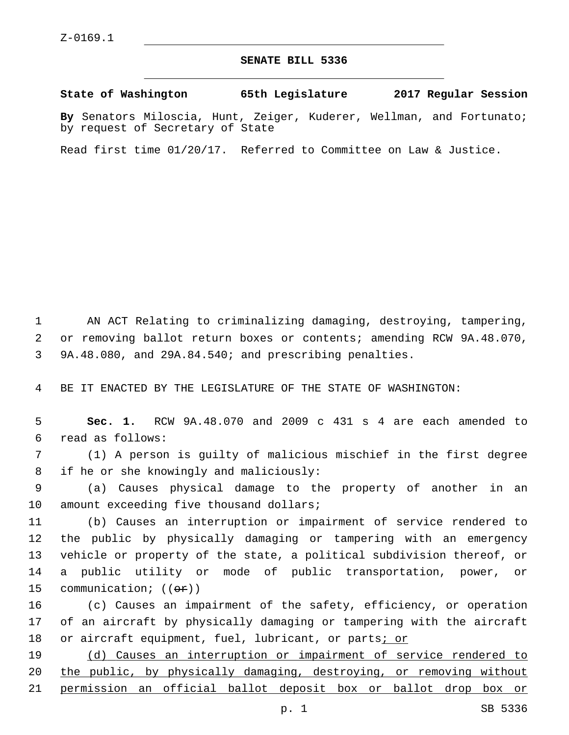## **SENATE BILL 5336**

**State of Washington 65th Legislature 2017 Regular Session**

**By** Senators Miloscia, Hunt, Zeiger, Kuderer, Wellman, and Fortunato; by request of Secretary of State

Read first time 01/20/17. Referred to Committee on Law & Justice.

 AN ACT Relating to criminalizing damaging, destroying, tampering, or removing ballot return boxes or contents; amending RCW 9A.48.070, 9A.48.080, and 29A.84.540; and prescribing penalties.

BE IT ENACTED BY THE LEGISLATURE OF THE STATE OF WASHINGTON:

 **Sec. 1.** RCW 9A.48.070 and 2009 c 431 s 4 are each amended to read as follows:6

 (1) A person is guilty of malicious mischief in the first degree 8 if he or she knowingly and maliciously:

 (a) Causes physical damage to the property of another in an 10 amount exceeding five thousand dollars;

 (b) Causes an interruption or impairment of service rendered to the public by physically damaging or tampering with an emergency vehicle or property of the state, a political subdivision thereof, or a public utility or mode of public transportation, power, or 15 communication;  $((\theta \cdot \hat{r}))$ 

 (c) Causes an impairment of the safety, efficiency, or operation of an aircraft by physically damaging or tampering with the aircraft or aircraft equipment, fuel, lubricant, or parts; or

 (d) Causes an interruption or impairment of service rendered to the public, by physically damaging, destroying, or removing without permission an official ballot deposit box or ballot drop box or